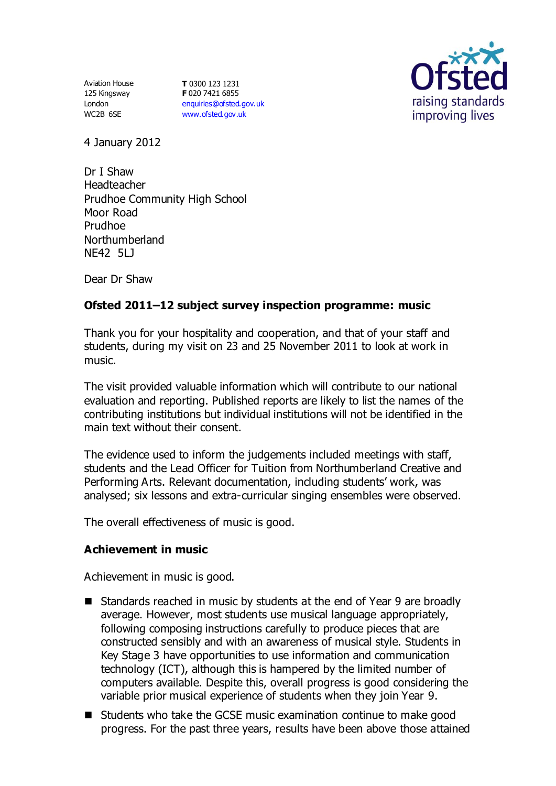Aviation House 125 Kingsway London WC2B 6SE

**T** 0300 123 1231 **F** 020 7421 6855 [enquiries@ofsted.gov.uk](mailto:enquiries@ofsted.gov.uk) [www.ofsted.gov.uk](http://www.ofsted.gov.uk/)



4 January 2012

Dr I Shaw Headteacher Prudhoe Community High School Moor Road Prudhoe Northumberland NE42 5LJ

Dear Dr Shaw

# **Ofsted 2011–12 subject survey inspection programme: music**

Thank you for your hospitality and cooperation, and that of your staff and students, during my visit on 23 and 25 November 2011 to look at work in music.

The visit provided valuable information which will contribute to our national evaluation and reporting. Published reports are likely to list the names of the contributing institutions but individual institutions will not be identified in the main text without their consent.

The evidence used to inform the judgements included meetings with staff, students and the Lead Officer for Tuition from Northumberland Creative and Performing Arts. Relevant documentation, including students' work, was analysed; six lessons and extra-curricular singing ensembles were observed.

The overall effectiveness of music is good.

### **Achievement in music**

Achievement in music is good.

- Standards reached in music by students at the end of Year 9 are broadly average. However, most students use musical language appropriately, following composing instructions carefully to produce pieces that are constructed sensibly and with an awareness of musical style. Students in Key Stage 3 have opportunities to use information and communication technology (ICT), although this is hampered by the limited number of computers available. Despite this, overall progress is good considering the variable prior musical experience of students when they join Year 9.
- Students who take the GCSE music examination continue to make good progress. For the past three years, results have been above those attained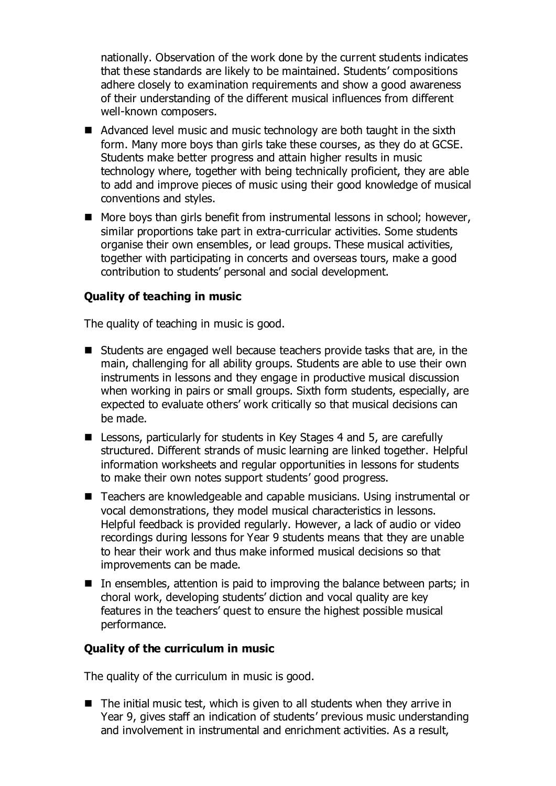nationally. Observation of the work done by the current students indicates that these standards are likely to be maintained. Students' compositions adhere closely to examination requirements and show a good awareness of their understanding of the different musical influences from different well-known composers.

- Advanced level music and music technology are both taught in the sixth form. Many more boys than girls take these courses, as they do at GCSE. Students make better progress and attain higher results in music technology where, together with being technically proficient, they are able to add and improve pieces of music using their good knowledge of musical conventions and styles.
- More boys than girls benefit from instrumental lessons in school; however, similar proportions take part in extra-curricular activities. Some students organise their own ensembles, or lead groups. These musical activities, together with participating in concerts and overseas tours, make a good contribution to students' personal and social development.

### **Quality of teaching in music**

The quality of teaching in music is good.

- Students are engaged well because teachers provide tasks that are, in the main, challenging for all ability groups. Students are able to use their own instruments in lessons and they engage in productive musical discussion when working in pairs or small groups. Sixth form students, especially, are expected to evaluate others' work critically so that musical decisions can be made.
- Lessons, particularly for students in Key Stages 4 and 5, are carefully structured. Different strands of music learning are linked together. Helpful information worksheets and regular opportunities in lessons for students to make their own notes support students' good progress.
- Teachers are knowledgeable and capable musicians. Using instrumental or vocal demonstrations, they model musical characteristics in lessons. Helpful feedback is provided regularly. However, a lack of audio or video recordings during lessons for Year 9 students means that they are unable to hear their work and thus make informed musical decisions so that improvements can be made.
- In ensembles, attention is paid to improving the balance between parts; in choral work, developing students' diction and vocal quality are key features in the teachers' quest to ensure the highest possible musical performance.

### **Quality of the curriculum in music**

The quality of the curriculum in music is good.

 $\blacksquare$  The initial music test, which is given to all students when they arrive in Year 9, gives staff an indication of students' previous music understanding and involvement in instrumental and enrichment activities. As a result,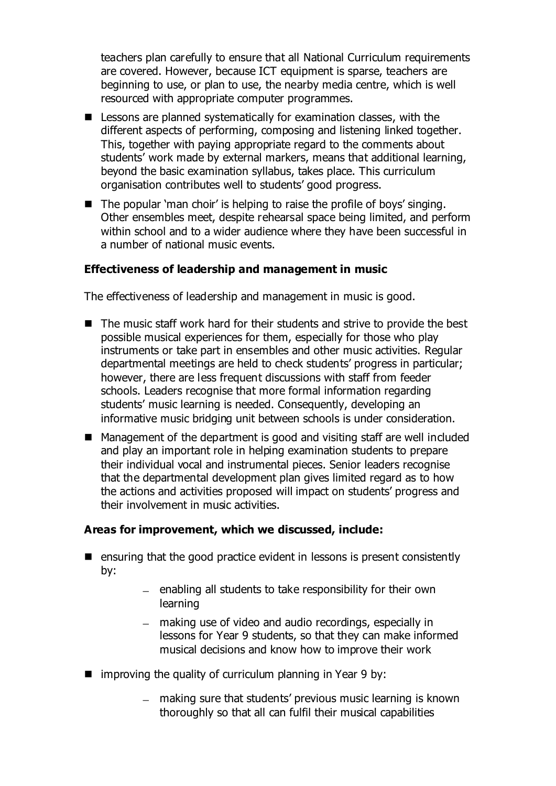teachers plan carefully to ensure that all National Curriculum requirements are covered. However, because ICT equipment is sparse, teachers are beginning to use, or plan to use, the nearby media centre, which is well resourced with appropriate computer programmes.

- Lessons are planned systematically for examination classes, with the different aspects of performing, composing and listening linked together. This, together with paying appropriate regard to the comments about students' work made by external markers, means that additional learning, beyond the basic examination syllabus, takes place. This curriculum organisation contributes well to students' good progress.
- $\blacksquare$  The popular 'man choir' is helping to raise the profile of boys' singing. Other ensembles meet, despite rehearsal space being limited, and perform within school and to a wider audience where they have been successful in a number of national music events.

## **Effectiveness of leadership and management in music**

The effectiveness of leadership and management in music is good.

- The music staff work hard for their students and strive to provide the best possible musical experiences for them, especially for those who play instruments or take part in ensembles and other music activities. Regular departmental meetings are held to check students' progress in particular; however, there are less frequent discussions with staff from feeder schools. Leaders recognise that more formal information regarding students' music learning is needed. Consequently, developing an informative music bridging unit between schools is under consideration.
- Management of the department is good and visiting staff are well included and play an important role in helping examination students to prepare their individual vocal and instrumental pieces. Senior leaders recognise that the departmental development plan gives limited regard as to how the actions and activities proposed will impact on students' progress and their involvement in music activities.

### **Areas for improvement, which we discussed, include:**

- $\blacksquare$  ensuring that the good practice evident in lessons is present consistently by:
	- $-$  enabling all students to take responsibility for their own learning
	- making use of video and audio recordings, especially in lessons for Year 9 students, so that they can make informed musical decisions and know how to improve their work
- $\blacksquare$  improving the quality of curriculum planning in Year 9 by:
	- making sure that students' previous music learning is known thoroughly so that all can fulfil their musical capabilities